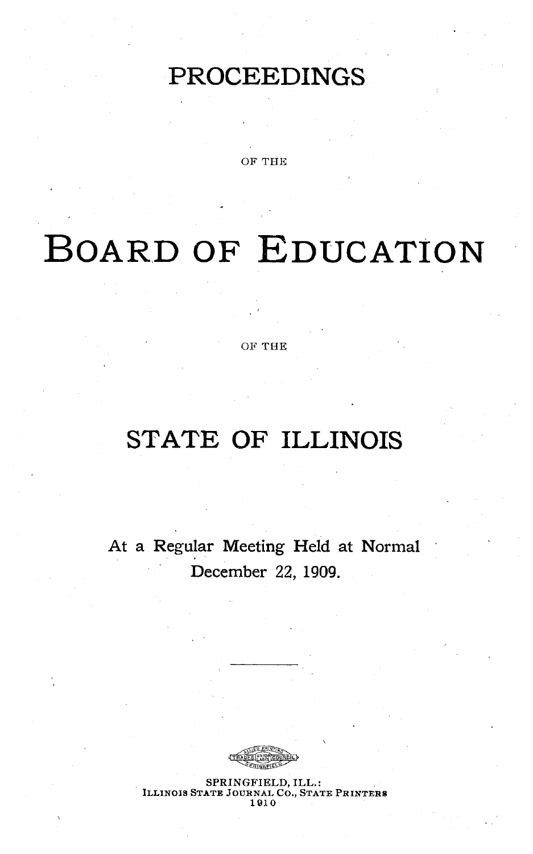## **PROCEEDINGS**

OF THE

# **BOARD OF EDUCATION**

OF **THE**

## **STATE** OF **ILLINOIS**

At a Regular Meeting Held at Normal December 22, 1909.



SPRINGFIELD, ILL.: ILLINOIS STATE JOURNAL Co., STATE PRINTERS **1910**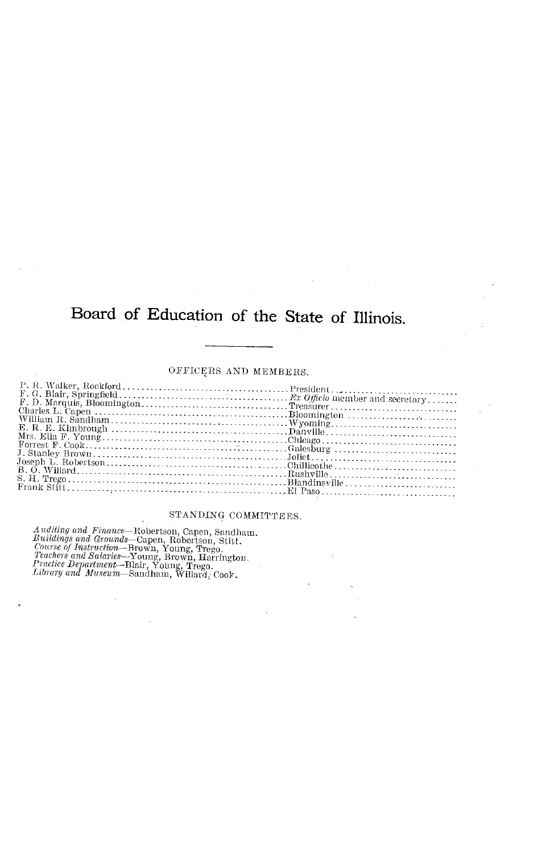## Board of Education of the State of Illinois.

#### OFFICERS AND MEMBERS.

| Frank Stift. |  |
|--------------|--|
|              |  |

#### STANDING COMMITTEES.

 $\emph{Auditing and Finance—Robertson, Capen, Sandham. Building and Grounds—Capen, Robertson, Stitt. Conurs of Instructation—Brown, Young, Trego. Teachers and Salaries—Young, Brown, Harrington. Preutice Department—Blair, Young, Herington. Litorary and Museum—Sandham, Willard, Cook.$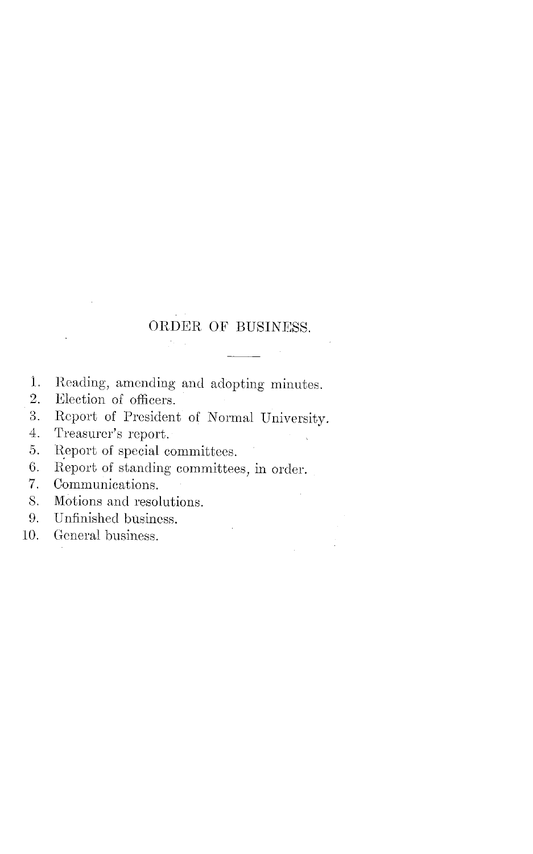## ORDER OF BUSINESS.

- 1. Reading, amending and adopting minutes.<br>2. Election of officers
- Election of officers.
- 3. Report of President of Normal University.<br>4. Treasurer's report.
- Treasurer's report.
- 5. Report of special committees.
- 6. Report of standing committees, in order.<br>7. Communications.
- Communications.
- S. Motions and resolutions.
- 9. Unfinished business.
- 10. General business.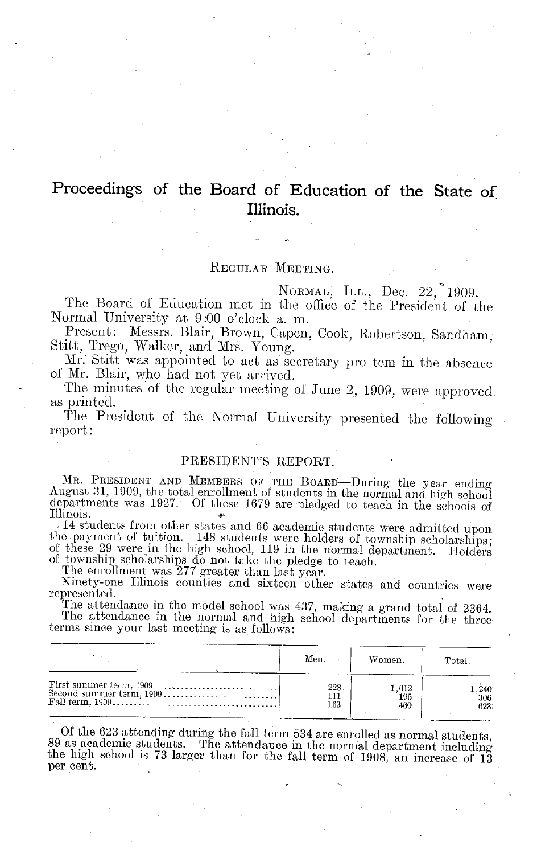## Proceedings of the Board of Education of the State of **Illinois.**

#### REGULAR MEETING.

NORMAL, ILL., Dec. 22, 1909.

The Board of Education met in the office of the President of the Normal University at 9:00 o'clock a.m.

Present: Messrs. Blair, Brown, Capen, Cook, Robertson, Sandham, Stitt, Trego, Walker, and Mrs. Young.

Mr' Stitt was appointed to act as secretary pro tem in the absence of Mr. Blair, who had not yet arrived.

The minutes of the regular meeting of June 2, 1909, were approved as printed.

The President of the Normal University presented the following report:

#### PRESIDENT'S REPORT.

MR. PRESIDENT AND MEMBERS OF THE BOARD—During the year ending<br>August 31, 1909, the total enrollment of students in the normal and high school<br>departments was 1927. Of these 1679 are pledged to teach in the schools of<br>Illi

Ninety-one Illinois counties and sixteen other states and countries were represented. The attendance in the model school was 437, making a grand total of 2364.

The attendance in the normal and high school departments for the three terms since your last meeting is as follows:

| Men. | Women. | Total. |
|------|--------|--------|
| 228  | 1.012  | . 240  |
| 111  | 195    | 306    |
| 163  | 460    | 623.   |

Of the 623 attending during the fall term  $534$  are enrolled as normal students, 89 as academic students. The attendance in the normal department including the high school is 73 larger than for the fall term of 1908, an i per cent.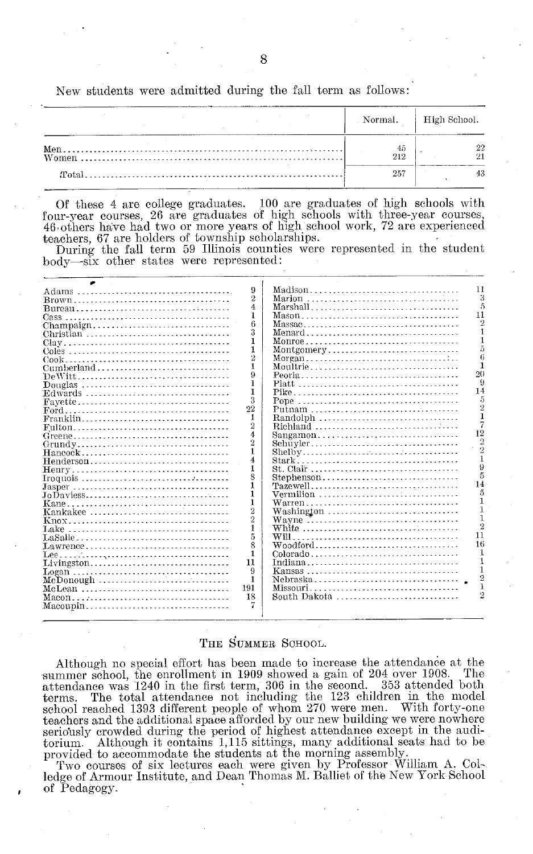New students were admitted during the fall term as follows:

|             | Normal.   High School. |
|-------------|------------------------|
| - 45<br>212 |                        |
| 257         |                        |

Of these 4 are college graduates. 100 are graduates of high schools with four-year courses, 26 are graduates of high schools with three-year courses, 46,others have had two or more years of high school work, 72 are experienced teachers, 67 are holders of township scholarships.

During the fall term 59 Illinois counties were represented in the student body-six other states were represented:

|            | 9              | 11<br>Madison    |
|------------|----------------|------------------|
| Brown      | 2              |                  |
|            | 4              | Marshall         |
|            | 1              | 11               |
| Champaign  | 6              |                  |
| Christian  | 3              | Menard           |
|            | ı              |                  |
|            | 1              | Montgomery       |
|            | 2              |                  |
| Cumberland |                | Moultrie         |
|            | 9              | 20               |
| Douglas    | 1              |                  |
| Edwards    | 1              | 14               |
|            | 3              |                  |
|            | 22             | Putnam           |
| Franklin   | 1              | Randolph         |
|            | $\overline{2}$ | Richland         |
|            | 4              | 12<br>Sangamon   |
|            | $\overline{2}$ | Schuyler<br>2    |
| Hancock    | 1              |                  |
| Henderson  | 4              | $\Omega$         |
|            | 1              |                  |
|            | 8              | Stephenson<br>14 |
|            |                |                  |
|            | $\mathbf{1}$   | Vermilion        |
|            | 1              |                  |
| Kankakee   | $\overline{2}$ | Washington       |
|            | $\overline{2}$ | Wayne            |
|            | 1              | White<br>11      |
|            | 5              | 16               |
| Lawrence   | 8              | Woodford         |
| Lee        | 1              |                  |
| Livingston | 11             |                  |
|            | 9              |                  |
|            | 1              |                  |
| McLean     | 191            | Missouri         |
|            | 18             | South Dakota     |
| Maeoupin   |                |                  |
|            |                |                  |

#### **THE SUMMER SCHOOL.**

Although no special effort has been made to increase the attendance at the more represented the enrollment in 1909 showed a gain of 204 over 1908. The summer school, the enrollment in 1909 showed a gain of 204 over 1908. attendance was 1240 in the first term, 306 in the second. 353 attended both The total attendance not including the 123 children in the model school reached 1393 different people of whom 270 were men. With forty-one teachers and the additional space afforded by our new building we were nowhere seriously crowded during the period of highest attendance except in the auditorium. Although it contains 1,115 sittings, many additional seats had to be provided to accommodate the students at the morning assembly.

Two courses of six lectures each were given by Professor William A. Col-. ledge of Armour Institute, and Dean Thomas M. Balliet of the New York School of Pedagogy.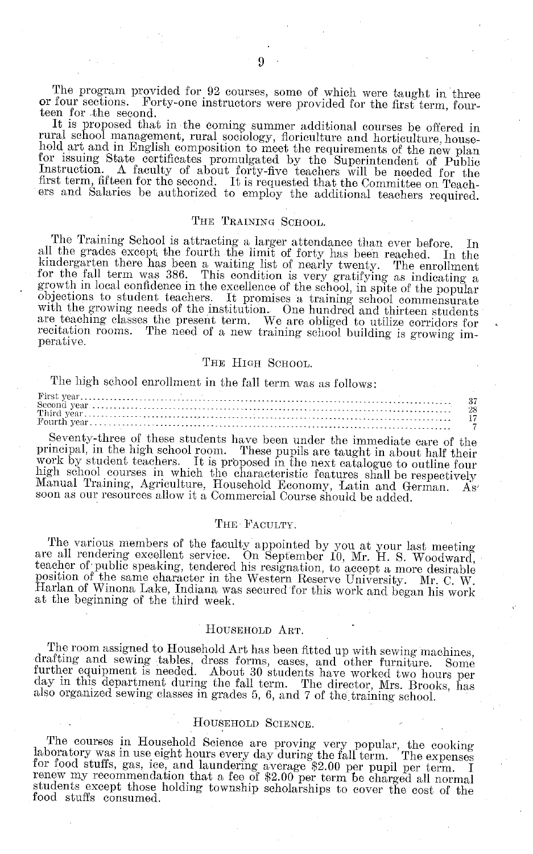The program provided for 92 courses, some of which were taught in three or four sections. Forty-one instructors were provided for the first term, fourteen for the second.<br>It is proposed that in the coming summer additional courses be offered in

rural school management, rural sociology, floriculture and horticulture, house-<br>hold art and in English composition to meet the requirements of the new plan for issuing State certificates promulgated by the Superintendent of Public Instruction. A faculty of about forty-five teachers will be needed for the first term, fifteen for the second. It is requested that the Committee o

#### THE TRAINING SCHOOL.

The Training School is attracting a larger attendance than ever before. In all the grades except the fourth the limit of forty has been reached. In the kindergarten there has been a waiting list of nearly twenty. The enrollment for the fall term was 386. This condition is very gratifying as indicating a growth in local confidence in the excellence of the school, in spite of the popular Supertions to student teachers. It promises a training school commensurate with the growing needs of the institution. One hundred and thirteen students are teaching classes the present term. We are obliged to utilize corri recitation rooms. The need of a new training school building is growing im- perative.

#### THE HIGH SCHOOL.

The high school enrollment in the fall term was as follows:

Seventy-three of these students have been under the immediate care of the principal, in the high school room. These pupils are taught in about half their work by student teachers. It is proposed in the next catalogue to ou

#### THE FACULTY.

The various members of the faculty appointed by you at your last meeting<br>are all rendering excellent service. On September 10, Mr. H. S. Woodward,<br>teacher of public speaking, tendered his resignation, to accept a more desi Harlan of Winona Lake, Indiana was secured for this work and began his work at the beginning of the third week.

#### HOUSEHOLD ART.

The room assigned to Household Art has been fitted up with sewing machines, drafting and sewing tables, dress forms, cases, and other furniture. Some further equipment is needed. About 30 students have worked two hours per

#### HOUSEHOLD SCIENCE.

The courses in Household Science are proving very popular, the cooking<br>laboratory was in use eight hours every day during the fall term. The expenses<br>for food stuffs, gas, ice, and laundering average \$2.00 per pupil per te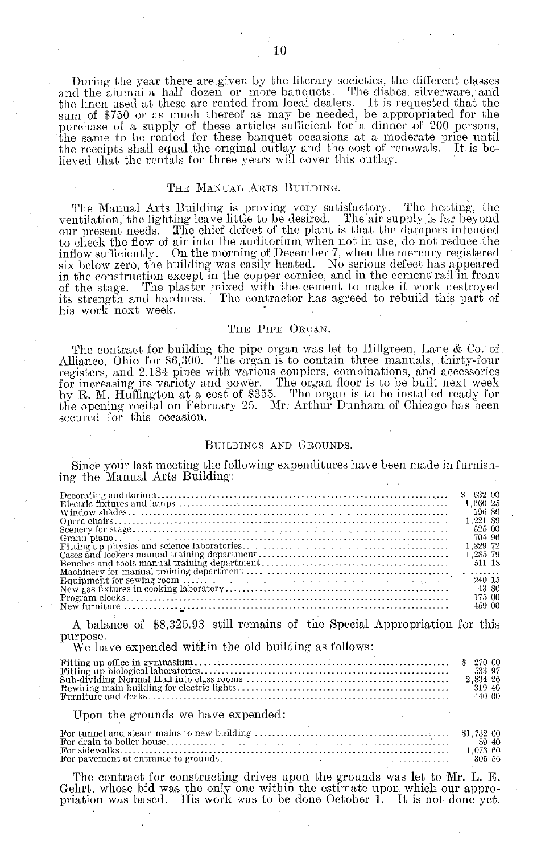During the year there are given by the literary societies, the different classes and the alumni a half dozen or more banquets. The dishes, silverware, and the linen used at these are rented from local dealers. It is requested that the sum of \$750 or as much thereof as may be needed, be appropriated for the purchase of a supply of these articles sufficient for a dinner of 200 the same to be rented for these banquet occasions at a moderate price until the receipts shall equal the original outlay and the cost of renewals. It is be-lieved that the rentals for three years will cover this outlay.

#### THE MANUAL ARTS BUILDING.

The Manual Arts Building is proving very satisfactory. The heating, the ventilation, the lighting leave little to be desired. The air supply is far beyond our present needs. The chief defect of the plant is that the dampers intended to check the flow of air into the auditorium when not in use, do not reduce the inflow sufficiently. On the morning of December 7, when the mercury registered six below zero, the building was easily heated. No serious defect has appeared in the construction except in the copper cornice, and in the cement rail in front of the stage. The plaster mixed with the cement to make it work destroyed its strength and hardness. The contractor has agreed to rebuild this part of his work next week.

#### THE PIPE ORGAN.

The contract for building the pipe organ was let to Hillgreen, Lane & Co. of Alliance, Ohio for \$6,300. The organ is to contain three manuals, thirty-four registers, and 2,184 pipes with various couplers, combinations, and accessories for increasing its variety and power. The organ floor is to be built next week by R. M. Huffington at a cost of \$355. The organ is to be installed ready for the opening recital on February 25. Mr: Arthur Dunham of Chicago has been secured for this occasion.

#### BUILDINGS AND GROUNDS.

Since your last meeting the following expenditures have been made in furnishing the Manual Arts Building:

| 1.660 25 |  |
|----------|--|
| 196 80   |  |
| 1.221.89 |  |
| 525 00   |  |
| 704 96   |  |
| 1.829 72 |  |
| 1.285 79 |  |
| 511 18   |  |
|          |  |
| 240 15   |  |
| 43 80    |  |
| 175 00   |  |
| 459.00   |  |
|          |  |

A balance of \$8,325.93 still remains of the Special Appropriation for this purpose.

We have expended within the old building as follows:

|  | 533 97<br>319.40<br>-440-00 |  |
|--|-----------------------------|--|
|--|-----------------------------|--|

#### Upon the grounds we have expended:

| 89 40    |
|----------|
| 1.073.60 |
| -305-56  |

The contract for constructing drives upon the grounds was let to Mr. L. E. Gehrt, whose bid was the only one within the estimate upon which our appropriation was based. His work was to be done October 1. It is not done yet.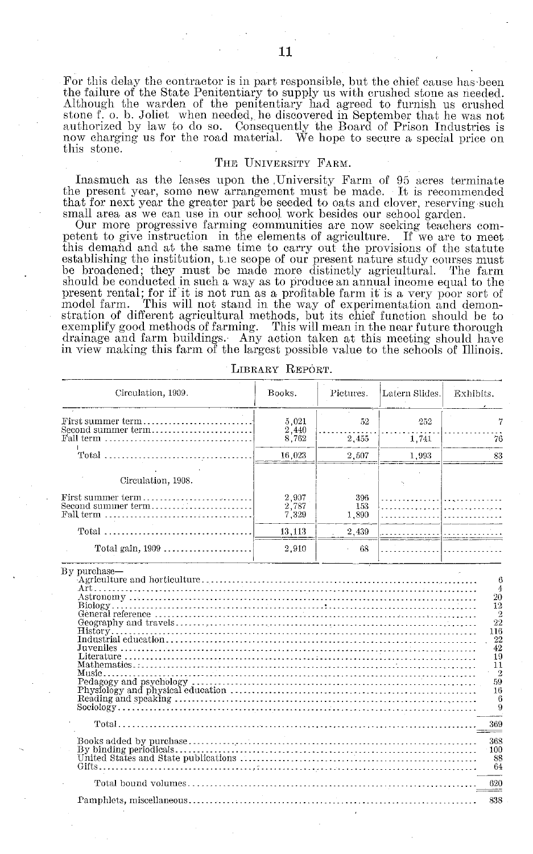For this delay the contractor is in part responsible, but the chief cause has-been the failure of the State Penitentiary to supply us with crushed stone as needed. Although the warden of the penitentiary had agreed to furnish us crushed stone f. o. b. Joliet when needed, he discovered in September that he was not authorized by law to do so. Consequently the Board of Prison Industries is now charging us for the road material. We hope to secure a special price on this stone.

#### THE UNIVERSITY FARM.

Inasmuch as the leases upon the University Farm of 95 acres terminate the present year, some new arrangement must be made. It is recommended that for next year the greater part be seeded to oats and clover, reserving such small area as we can use in our school work besides our school garden.

Our more progressive farming communities are now seeking teachers competent to give instruction in the elements of agriculture. If we are to meet this demand and at the same time to carry out the provisions of the statute establishing the institution, **tie** scope of our present nature study courses must be broadened; they must be made more distinctly agricultural. The farm should be conducted in such a way as to produce an annual income equal to the present rental; for if it is not run as a profitable farm it is a very poor sort of model farm. This will not stand in the way of experimentation and demonmodel farm. This will not stand in the way of experimentation and demonstration of different agricultural methods, but its chief function should be to exemplify good methods of farming. This will mean in the near future thorough drainage and farm buildings. Any action taken at this meeting should have in view making this farm of the largest possible value to the schools of Illinois.

| Circulation, 1909.                                                          | Books.                  | Pictures.           | Latern Slides. | Exhibits.                                                                                   |
|-----------------------------------------------------------------------------|-------------------------|---------------------|----------------|---------------------------------------------------------------------------------------------|
| First summer term<br>Second summer term                                     | 5.021<br>2,440          | 52                  | 252            |                                                                                             |
| Fall term                                                                   | 8,762                   | 2,455               | 1,741          | 76                                                                                          |
| $Total$                                                                     | 16.023                  | 2,507               | 1,993          | 83                                                                                          |
| Circulation, 1908.                                                          |                         |                     |                |                                                                                             |
| First summer term<br>Second summer term<br>Fall term                        | 2,907<br>2,787<br>7.329 | 396<br>153<br>1,890 |                |                                                                                             |
|                                                                             | 13,113                  | 2,439               |                |                                                                                             |
| Total gain, 1909                                                            | 2,910                   | 68                  |                |                                                                                             |
| $Historv \ldots \ldots$<br>Juveniles<br>Literature.<br>Mathematics<br>Music |                         |                     |                | $\overline{2}$<br>22<br>116<br>22<br>42<br>19<br>11<br>$\overline{2}$<br>59<br>16<br>6<br>9 |
| Total                                                                       |                         |                     |                | 369                                                                                         |
|                                                                             |                         |                     |                | 368<br>100<br>88<br>64                                                                      |
|                                                                             |                         |                     |                | 620<br>---                                                                                  |
|                                                                             |                         |                     |                | 838                                                                                         |
|                                                                             |                         |                     |                |                                                                                             |

LIBRARY REPORT.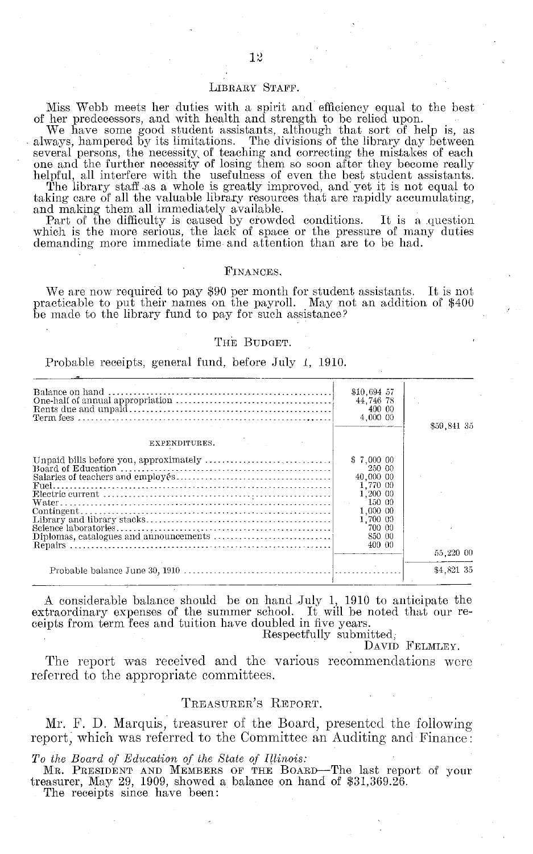#### LIBRARY STAFF.

Miss Webb meets her duties with a spirit and efficiency equal to the best

of her predecessors, and with health and strength to be relied upon. We have some good student assistants, although that sort of help is, as always, hampered by its limitations. The divisions of the library day between several persons, the necessity of teaching and correcting the mistakes of each one and the further necessity of losing them so soon after they become really helpful, all interfere with the usefulness of even the best student assistants.

The library staff as a whole is greatly improved, and yet it is not equal to taking care of all the valuable library resources that are rapidly accumulating,

and making them all immediately available. Part of the difficulty is caused by crowded conditions. It is a question Part of the difficulty is caused by crowded conditions. It is a question which is the more serious, the lack of space or the pressure of many duties demanding more immediate time and attention than are to be had.

#### FINANCES,

We are now required to pay \$90 per month for student assistants. It is not practicable to put their names on the payroll. May not an addition of \$400 be made to the library fund to pay for such assistance?

#### THE BUDGET.

Probable receipts, general fund, before July 1, 1910.

|               | \$10,694 57<br>44.746 78<br>400 00<br>4,000 00                                                                            | \$59.841 35 |
|---------------|---------------------------------------------------------------------------------------------------------------------------|-------------|
| EXPENDITURES. |                                                                                                                           |             |
|               | \$7,000 00<br>250 00<br>40,000 00<br>1.770 00<br>1.200 00<br>150 00<br>1.000 00<br>1,700 00<br>700 00<br>850 00<br>400 00 | 55.220 00   |
|               |                                                                                                                           | \$4,821 35  |
|               |                                                                                                                           |             |

A considerable balance should be on hand July 1, 1910 to anticipate the extraordinary expenses of the summer school. It will be noted that our receipts from term fees and tuition have doubled in five years.<br>Respectfully submitted,

DAVID FELMLEY.

The report was received and the various recommendations were referred to the appropriate committees.

#### TREASURER'S REPORT.

Mr. F. D. Marquis, treasurer of the Board, presented the following report, which was referred to the Committee an Auditing and Finance:

*To the Board of Education of the State of Illinois:*

MR. PRESIDENT AND MEMBERS OF THE BOARD-The last report of your treasurer, May 29, 1909, showed a balance on hand of \$31,369.26.

The receipts since have been: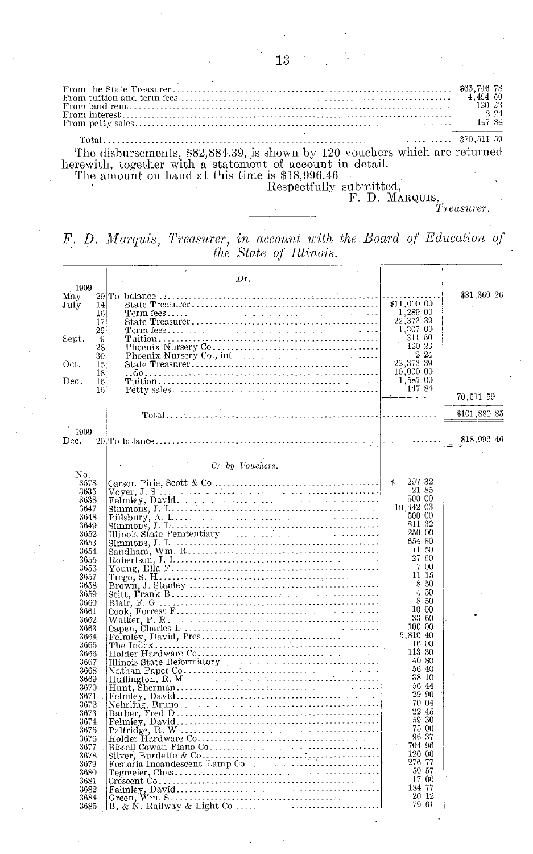From the State Treasurer -..... '...-. .....-...--.-.-. .... ...... . .....------- \$65,746 78 From tuition and term fees .<br>From land rent . . . . . . . . . . . . . . .  $\rm From\,\,interest$  . From petty sales. Total .... -.. -... ....- *.....................-............ ....................-* - *-........* 870,511 59 The disbursements, \$82,884.39, is shown by 120 vouchers which are returned

herewith, together with a statement of account in detail. The amount on hand at this time is \$18,996.46<br>Respectfully submitted

Respectfully submitted,<br>F. D. MARQUIS,

*Treasurer.*

*F. D. Marquis, Treasurer, in account with the Board of Education of the State of Illinois.*

|              |    | Dr.              |                           |              |
|--------------|----|------------------|---------------------------|--------------|
| 1909         |    |                  |                           |              |
| May          |    |                  |                           | \$31,369 26  |
| July         | 14 |                  | \$11.000 00               |              |
|              | 16 |                  | $\frac{1,289}{22,373}$ 39 |              |
|              | 17 |                  |                           |              |
|              | 29 |                  | 1,307 00                  |              |
| Sept.        | 9  |                  | 311 50                    |              |
|              | 28 |                  | 120 23                    |              |
|              | 30 |                  | $2\,24$                   |              |
| Oct.         | 15 |                  | 22,373 39                 |              |
|              | 18 |                  | 10,000 00                 |              |
| Dec.         | 16 |                  | 1,587 00                  |              |
|              | 16 |                  | 147 84                    |              |
|              |    |                  |                           | 70,511 59    |
|              |    |                  |                           |              |
|              |    |                  |                           | \$101,880 85 |
| 1909         |    |                  |                           |              |
|              |    |                  |                           | \$18,996 46  |
| Dec.         |    |                  |                           |              |
|              |    |                  |                           |              |
|              |    | Cr. by Vouchers. |                           |              |
| No.          |    |                  |                           |              |
| 3578         |    |                  | \$<br>297 32              |              |
| 3635         |    |                  | 21 85                     |              |
| 3638         |    |                  | 500 00                    |              |
| 3647         |    |                  | 10.442 03                 |              |
| 3648         |    |                  | 500 00                    |              |
| 3649         |    |                  | 811 32                    |              |
| 3652         |    |                  | 250 00                    |              |
| 3653         |    |                  | 654 80                    |              |
| 3654         |    |                  | 11 50                     |              |
| 3655         |    |                  | 27 60                     |              |
| 3656         |    |                  | 7 00                      |              |
| 3657         |    |                  | 11 15                     |              |
| 3658         |    |                  | 8 50                      |              |
| 3659         |    |                  | 450                       |              |
| 3660         |    |                  | 8 50                      |              |
| 3661         |    |                  | 10 00                     |              |
| 3662         |    |                  | 33 60                     |              |
| 3663         |    |                  | 100 00                    |              |
| 3664         |    |                  | 5.810 40                  |              |
| 3665         |    |                  | 16 00                     |              |
| 3666         |    |                  | 113 30                    |              |
| 3667         |    |                  | 40 80                     |              |
| 3668         |    |                  | 56 40                     |              |
| 3669         |    |                  | 38 10                     |              |
| 3670         |    |                  | 56 44                     |              |
| 3671         |    |                  | 29 90                     |              |
| 3672         |    |                  | 70 04                     |              |
| 3673         |    |                  | 22 45                     |              |
| 3674         |    |                  | 59 30                     |              |
|              |    |                  | 75 00                     |              |
| 3675<br>3676 |    |                  | 96 37                     |              |
|              |    |                  | 704 96                    |              |
| 3677         |    |                  | 120 00                    |              |
| 3678         |    |                  | 276 77                    |              |
| 3679         |    |                  | 59.57                     |              |
| 3680         |    |                  | 17 00                     |              |
| 3681         |    |                  | 184 77                    |              |
| 3682         |    |                  | 20 12                     |              |
| 3684         |    |                  | 79 61                     |              |
| 3685         |    |                  |                           |              |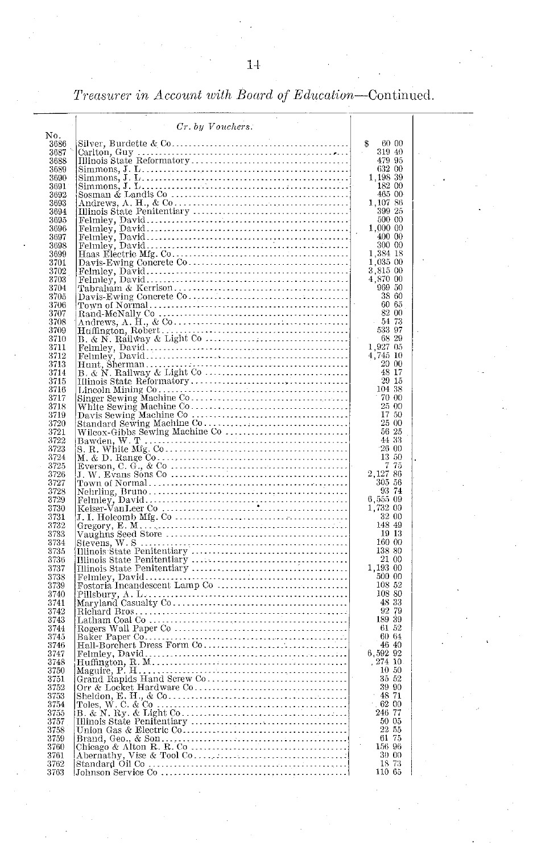*Treasurer in Account with Board of Education*—Continued.

|              | Cr. by Vouchers.                                                                                                                                                                                                              |                                                                               |
|--------------|-------------------------------------------------------------------------------------------------------------------------------------------------------------------------------------------------------------------------------|-------------------------------------------------------------------------------|
| No.<br>3686  |                                                                                                                                                                                                                               | \$<br>60 00                                                                   |
| 3687         |                                                                                                                                                                                                                               | 319 40                                                                        |
| 3688         |                                                                                                                                                                                                                               | 479 95<br>632 00                                                              |
| 3689<br>3690 |                                                                                                                                                                                                                               | 1,198 39                                                                      |
| 3691         |                                                                                                                                                                                                                               | 182 00                                                                        |
| 3692<br>3693 |                                                                                                                                                                                                                               | 465 00<br>1,107<br>86                                                         |
| 3694         |                                                                                                                                                                                                                               | 399 25                                                                        |
| 3695         |                                                                                                                                                                                                                               | 500 00                                                                        |
| 3696<br>3697 |                                                                                                                                                                                                                               | 1,000 00<br>400 00                                                            |
| 3698         |                                                                                                                                                                                                                               | 300 00                                                                        |
| 3699         |                                                                                                                                                                                                                               | 1,384 18                                                                      |
| 3701<br>3702 |                                                                                                                                                                                                                               | 1,035 00                                                                      |
| 3703         |                                                                                                                                                                                                                               | 3,815 00<br>4,870 00                                                          |
| 3704         |                                                                                                                                                                                                                               | 969 50                                                                        |
| 3705<br>3706 |                                                                                                                                                                                                                               | 38 60<br>60 65                                                                |
| 3707         |                                                                                                                                                                                                                               | 82 00                                                                         |
| 3708         |                                                                                                                                                                                                                               | 54 73                                                                         |
| 3709<br>3710 |                                                                                                                                                                                                                               | 533 97<br>68 29                                                               |
| 3711         |                                                                                                                                                                                                                               |                                                                               |
| 3712         |                                                                                                                                                                                                                               | $\frac{1}{4}, \frac{927}{745} \frac{05}{10}$<br>$\frac{4}{20} \frac{745}{00}$ |
| 3713<br>3714 |                                                                                                                                                                                                                               | 48 17                                                                         |
| 3715         |                                                                                                                                                                                                                               | $29\text{--}15$                                                               |
| 3716         |                                                                                                                                                                                                                               | 104 38                                                                        |
| 3717<br>3718 |                                                                                                                                                                                                                               | 70 00<br>25 00                                                                |
| 3719         |                                                                                                                                                                                                                               | 17 50                                                                         |
| 3720<br>3721 |                                                                                                                                                                                                                               | 25 00<br>56 25                                                                |
| 3722         |                                                                                                                                                                                                                               | 44 33                                                                         |
| 3723         |                                                                                                                                                                                                                               | 2600                                                                          |
| 3724<br>3725 |                                                                                                                                                                                                                               | 13 50<br>75<br>7                                                              |
| 3726         |                                                                                                                                                                                                                               | 2,127 86                                                                      |
| 3727         |                                                                                                                                                                                                                               | 305 56                                                                        |
| 3728<br>3729 |                                                                                                                                                                                                                               | 93 74                                                                         |
| 3730         |                                                                                                                                                                                                                               | $\begin{array}{c} 6,555 & 09 \\ 1,732 & 00 \end{array}$                       |
| 3731         |                                                                                                                                                                                                                               | 32 00                                                                         |
| 3732<br>3733 |                                                                                                                                                                                                                               | 148 49<br>19 13                                                               |
| 3734         |                                                                                                                                                                                                                               | 160 00                                                                        |
| 3735         |                                                                                                                                                                                                                               | 138 80                                                                        |
| 3736<br>3737 |                                                                                                                                                                                                                               | 21 00<br>1,193 00                                                             |
| 3738         |                                                                                                                                                                                                                               | 500 00                                                                        |
| 3739         |                                                                                                                                                                                                                               | 108 52<br>108 80                                                              |
| 3740<br>3741 |                                                                                                                                                                                                                               | 48 33                                                                         |
| 3742         |                                                                                                                                                                                                                               | $\begin{array}{c} 92 \ 79 \\ 189 \ 39 \end{array}$                            |
| 3743         |                                                                                                                                                                                                                               | 61 52                                                                         |
| 3744<br>3745 |                                                                                                                                                                                                                               | 60 64                                                                         |
| 3746         |                                                                                                                                                                                                                               | 46 40                                                                         |
| 3747<br>3748 |                                                                                                                                                                                                                               | 6,592 92<br>27410                                                             |
| 3750         |                                                                                                                                                                                                                               | 10 50                                                                         |
| 3751         |                                                                                                                                                                                                                               | 35<br>52                                                                      |
| 3752<br>3753 |                                                                                                                                                                                                                               | 39 90<br>48 71                                                                |
| 3754         |                                                                                                                                                                                                                               | 62 00                                                                         |
| 3755         |                                                                                                                                                                                                                               | 246 77                                                                        |
| 3757<br>3758 |                                                                                                                                                                                                                               | 50 05<br>22 55                                                                |
| 3759         |                                                                                                                                                                                                                               | 61<br>75                                                                      |
| 3760         |                                                                                                                                                                                                                               | 156 96                                                                        |
| 3761<br>3762 |                                                                                                                                                                                                                               | 30<br>00<br>18<br>73                                                          |
| 3763         | Orr & Locket Hardware Communication College Theory (Poles, W. C. & Communication (Poles, W. Right Communication (B) and Hindus State Penitentity (Union Gas & Electric Communication (Communication (Communication Communicat | 110 65                                                                        |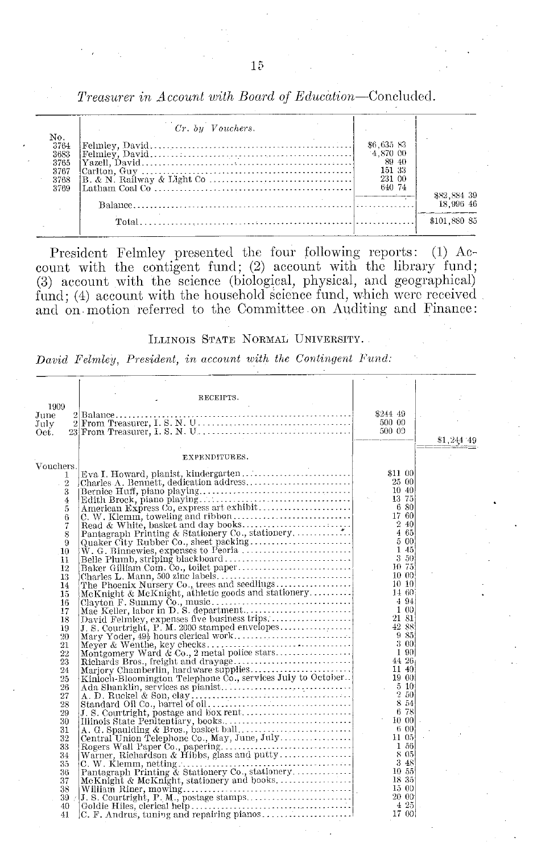|                                                     | $Cr.$ by $Vouchers.$ |                                                               |                                          |
|-----------------------------------------------------|----------------------|---------------------------------------------------------------|------------------------------------------|
| No.<br>3764<br>3683<br>3765<br>3767<br>3768<br>3769 |                      | \$6,635 83<br>4.870 00<br>89 40<br>151-33<br>231 00<br>640 74 | 882, 884 39<br>18.996 46<br>\$101,880 85 |

President Felmley presented the four following reports: (1) Account with the contigent fund; (2) account with the library fund (3) account with the science (biological, physical, and geographical) fund; (4) account with the household science fund, which were received and on motion referred to the Committee on Auditing and Finance:

#### ILLINOIS STATE NORMAL UNIVERSITY.

*David Felmley, President, in account with the Contingent Fund:*

|             | RECEIPTS.                                                                                                                                                                                                                                                                                                                                                                                                                                                     |         |            |
|-------------|---------------------------------------------------------------------------------------------------------------------------------------------------------------------------------------------------------------------------------------------------------------------------------------------------------------------------------------------------------------------------------------------------------------------------------------------------------------|---------|------------|
| 1909        |                                                                                                                                                                                                                                                                                                                                                                                                                                                               |         |            |
| June        |                                                                                                                                                                                                                                                                                                                                                                                                                                                               | 8244 49 |            |
| July        | $2$ From Treasurer, I. S. N. U.                                                                                                                                                                                                                                                                                                                                                                                                                               | 500 00  |            |
| Oet.        |                                                                                                                                                                                                                                                                                                                                                                                                                                                               | 500 09  |            |
|             |                                                                                                                                                                                                                                                                                                                                                                                                                                                               |         | \$1,244 49 |
|             |                                                                                                                                                                                                                                                                                                                                                                                                                                                               |         |            |
|             | EXPENDITURES.                                                                                                                                                                                                                                                                                                                                                                                                                                                 |         |            |
| Vouchers.   |                                                                                                                                                                                                                                                                                                                                                                                                                                                               |         |            |
| 1           |                                                                                                                                                                                                                                                                                                                                                                                                                                                               |         |            |
| $\,2\,$     |                                                                                                                                                                                                                                                                                                                                                                                                                                                               |         |            |
| 3           |                                                                                                                                                                                                                                                                                                                                                                                                                                                               |         |            |
| 4           |                                                                                                                                                                                                                                                                                                                                                                                                                                                               |         |            |
| 5           |                                                                                                                                                                                                                                                                                                                                                                                                                                                               |         |            |
| 6           |                                                                                                                                                                                                                                                                                                                                                                                                                                                               |         |            |
| 7           |                                                                                                                                                                                                                                                                                                                                                                                                                                                               |         |            |
| 8           |                                                                                                                                                                                                                                                                                                                                                                                                                                                               |         |            |
| 9<br>$10\,$ |                                                                                                                                                                                                                                                                                                                                                                                                                                                               |         |            |
| 11          |                                                                                                                                                                                                                                                                                                                                                                                                                                                               |         |            |
| 12          |                                                                                                                                                                                                                                                                                                                                                                                                                                                               |         |            |
| 13          |                                                                                                                                                                                                                                                                                                                                                                                                                                                               |         |            |
| 14          |                                                                                                                                                                                                                                                                                                                                                                                                                                                               |         |            |
| 15          |                                                                                                                                                                                                                                                                                                                                                                                                                                                               |         |            |
| 16          |                                                                                                                                                                                                                                                                                                                                                                                                                                                               |         |            |
| 17          |                                                                                                                                                                                                                                                                                                                                                                                                                                                               |         |            |
| 18          |                                                                                                                                                                                                                                                                                                                                                                                                                                                               |         |            |
| 19          |                                                                                                                                                                                                                                                                                                                                                                                                                                                               |         |            |
| 20          |                                                                                                                                                                                                                                                                                                                                                                                                                                                               |         |            |
| 21          |                                                                                                                                                                                                                                                                                                                                                                                                                                                               |         |            |
| 22          |                                                                                                                                                                                                                                                                                                                                                                                                                                                               |         |            |
| 23          |                                                                                                                                                                                                                                                                                                                                                                                                                                                               |         |            |
| 24          |                                                                                                                                                                                                                                                                                                                                                                                                                                                               |         |            |
| 25          |                                                                                                                                                                                                                                                                                                                                                                                                                                                               |         |            |
| 26          |                                                                                                                                                                                                                                                                                                                                                                                                                                                               |         |            |
| 27<br>28    |                                                                                                                                                                                                                                                                                                                                                                                                                                                               |         |            |
| 29          |                                                                                                                                                                                                                                                                                                                                                                                                                                                               |         |            |
| 30          |                                                                                                                                                                                                                                                                                                                                                                                                                                                               |         |            |
| 31          |                                                                                                                                                                                                                                                                                                                                                                                                                                                               |         |            |
| 32          |                                                                                                                                                                                                                                                                                                                                                                                                                                                               |         |            |
| 33          |                                                                                                                                                                                                                                                                                                                                                                                                                                                               |         |            |
| 34          |                                                                                                                                                                                                                                                                                                                                                                                                                                                               |         |            |
| 35          |                                                                                                                                                                                                                                                                                                                                                                                                                                                               |         |            |
| 36          |                                                                                                                                                                                                                                                                                                                                                                                                                                                               |         |            |
| 37          |                                                                                                                                                                                                                                                                                                                                                                                                                                                               |         |            |
| 38          |                                                                                                                                                                                                                                                                                                                                                                                                                                                               |         |            |
| $39 \t $    |                                                                                                                                                                                                                                                                                                                                                                                                                                                               |         |            |
| 40          | $[{\it Evra I. Howard, planist, khndergarten. 31100\nCharle's A. Benedth, Glaustions ddres\nBertine Hurf, plano playing.\nA metric, deduce, plane bylug, 2300\nA metric's data of a Vibto, 1400\nA metric's data of a Vibto, 1400\nA particle's phase by a set pastion\nAn interval\nthe same\nRend's Witten, back and also y look.\nQuaker City Rubble Oo, sketch paper.\nQuaker Gill, Rithbe to, 1600\nQuaker Gill, 3110\nQuaker Gill, 3200\nQuater's L, 3$ |         |            |
| 41          |                                                                                                                                                                                                                                                                                                                                                                                                                                                               |         |            |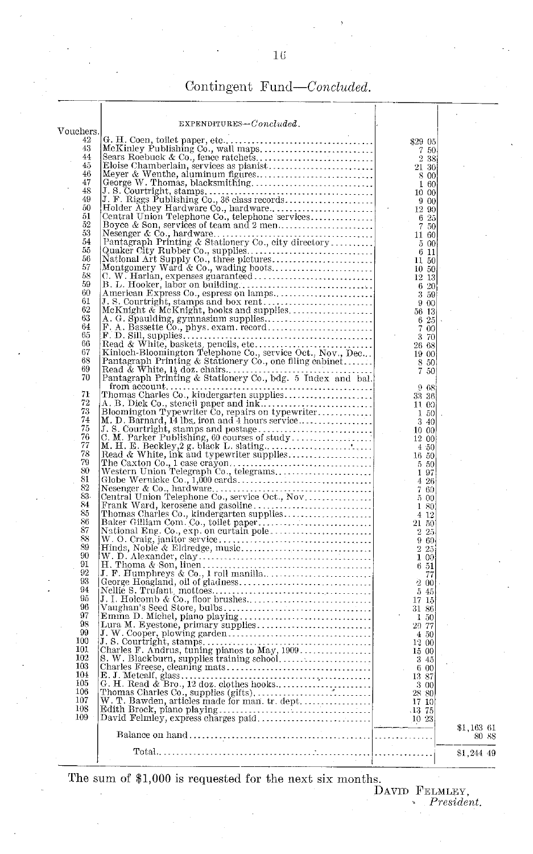## Contingent *Fund-Concluded.*

|            | $EXPENDITURES-Concluded.$                                                                                                                                                                                                                 |                                                       |                     |
|------------|-------------------------------------------------------------------------------------------------------------------------------------------------------------------------------------------------------------------------------------------|-------------------------------------------------------|---------------------|
| Vouchers.  |                                                                                                                                                                                                                                           |                                                       |                     |
| 42         |                                                                                                                                                                                                                                           | \$29 05                                               |                     |
| 43         |                                                                                                                                                                                                                                           | 7<br>-50                                              |                     |
| 44<br>45   |                                                                                                                                                                                                                                           | 2 3 8                                                 |                     |
| 46         |                                                                                                                                                                                                                                           | 21 30<br>8 00                                         |                     |
| 47         |                                                                                                                                                                                                                                           | 160                                                   |                     |
| 48         |                                                                                                                                                                                                                                           | 10 00                                                 |                     |
| 49         |                                                                                                                                                                                                                                           | 9 00                                                  |                     |
| 50         |                                                                                                                                                                                                                                           | 12 90                                                 |                     |
| 51<br>52   |                                                                                                                                                                                                                                           | $\begin{array}{cc} 6 & 25 \\ 7 & 50 \end{array}$      |                     |
| 53         |                                                                                                                                                                                                                                           | 11 60                                                 |                     |
| 54         |                                                                                                                                                                                                                                           | $5\,$ $00$                                            |                     |
| 55         |                                                                                                                                                                                                                                           | 6 11                                                  |                     |
| 56         |                                                                                                                                                                                                                                           | 11 50                                                 |                     |
| 57         |                                                                                                                                                                                                                                           | 10 50                                                 |                     |
| 58<br>59   |                                                                                                                                                                                                                                           | 12 13                                                 |                     |
| 60         |                                                                                                                                                                                                                                           | 6 20<br>3 59                                          |                     |
| 61         |                                                                                                                                                                                                                                           | 9 00                                                  |                     |
| 62         |                                                                                                                                                                                                                                           | 56 13                                                 |                     |
| 63         |                                                                                                                                                                                                                                           | 6 25                                                  |                     |
| 64         |                                                                                                                                                                                                                                           | $\frac{8}{3}$<br>00                                   |                     |
| 65         |                                                                                                                                                                                                                                           | 3 70                                                  |                     |
| 66<br>67   |                                                                                                                                                                                                                                           | 26 68                                                 |                     |
| 68         |                                                                                                                                                                                                                                           | 19 00                                                 |                     |
| 69         |                                                                                                                                                                                                                                           | $\begin{array}{cc} 8 & 50 \\ 7 & 50 \end{array}$      |                     |
| 70         | (Quaker City Rubber Co., supplies<br>Montgomery Ward & Co., supplies<br>Montgomery Ward & Co., wading boots.<br>Montgomery Ward & Co., wading boots.<br>C. W. Harlan, expenses guaranteed.<br>B. L. Hooker, labor on building.<br>America |                                                       |                     |
|            | from account                                                                                                                                                                                                                              | 968                                                   |                     |
| 71         |                                                                                                                                                                                                                                           | 33 36                                                 |                     |
| 72<br>73   |                                                                                                                                                                                                                                           | 11 00                                                 |                     |
| 74         |                                                                                                                                                                                                                                           | 150<br>3 40                                           |                     |
| 75         |                                                                                                                                                                                                                                           | 1000                                                  |                     |
| 76         |                                                                                                                                                                                                                                           | 12 00                                                 |                     |
| 77         |                                                                                                                                                                                                                                           | 4.50                                                  |                     |
| 78         |                                                                                                                                                                                                                                           | 16 50                                                 |                     |
| 79<br>80   |                                                                                                                                                                                                                                           | 5 50                                                  |                     |
| 81         |                                                                                                                                                                                                                                           | 1<br>-97<br>4 26                                      |                     |
| 82         |                                                                                                                                                                                                                                           | 7 60                                                  |                     |
| 83         |                                                                                                                                                                                                                                           | 500                                                   |                     |
| 84         |                                                                                                                                                                                                                                           | 1 80                                                  |                     |
| 85         |                                                                                                                                                                                                                                           | 412                                                   |                     |
| 86<br>87   |                                                                                                                                                                                                                                           | 21 50                                                 |                     |
| 88         |                                                                                                                                                                                                                                           | $\overline{2}$<br>25<br>960                           |                     |
| 89         |                                                                                                                                                                                                                                           | $\,2\,$<br>25                                         |                     |
| 90         |                                                                                                                                                                                                                                           | 100                                                   |                     |
| 91         |                                                                                                                                                                                                                                           | 6 51                                                  |                     |
| 92         |                                                                                                                                                                                                                                           | 77                                                    |                     |
| 93<br>94   |                                                                                                                                                                                                                                           | 200                                                   |                     |
| 95         |                                                                                                                                                                                                                                           | 545                                                   |                     |
| 96         |                                                                                                                                                                                                                                           | 17 15<br>31 86                                        |                     |
| 97         |                                                                                                                                                                                                                                           | 150                                                   |                     |
| 98         |                                                                                                                                                                                                                                           | 29 77                                                 |                     |
| 99         |                                                                                                                                                                                                                                           | 450                                                   |                     |
| 100        |                                                                                                                                                                                                                                           | 12 00                                                 |                     |
| 101<br>102 |                                                                                                                                                                                                                                           | 15 00                                                 |                     |
| 103        |                                                                                                                                                                                                                                           | 3 45<br>600                                           |                     |
| 104        |                                                                                                                                                                                                                                           | 13 87                                                 |                     |
| 105        |                                                                                                                                                                                                                                           | 3 00                                                  |                     |
| 106        |                                                                                                                                                                                                                                           | 28 80                                                 |                     |
| 107        |                                                                                                                                                                                                                                           | 17 10                                                 |                     |
| 108<br>109 |                                                                                                                                                                                                                                           | $\begin{array}{c} 13 \ \ 75 \\ 10 \ \ 23 \end{array}$ |                     |
|            |                                                                                                                                                                                                                                           |                                                       |                     |
|            | Balance on hand                                                                                                                                                                                                                           |                                                       | \$1,163 61<br>80 88 |
|            |                                                                                                                                                                                                                                           |                                                       |                     |
|            | $Total$                                                                                                                                                                                                                                   |                                                       | \$1,244 49          |
|            |                                                                                                                                                                                                                                           |                                                       |                     |

The sum of \$1,000 is requested for the next six months.<br>DAVID FELMLEY,<br>*President.*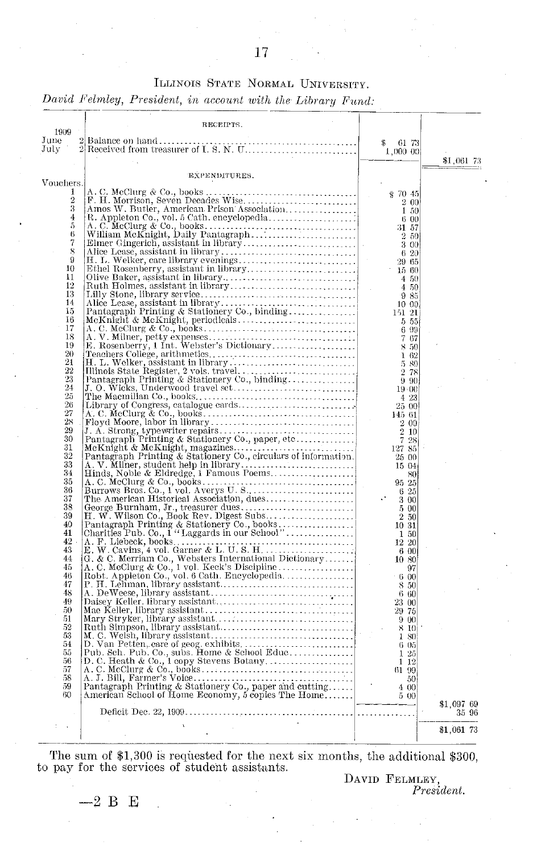#### ILLINOIS STATE NORMAL UNIVERSITY.

*David Felmley, President, in account with the Library Fund:*

| 1909           | RECEIPTS.                                                                                                                                                                                                                      |                          |            |       |
|----------------|--------------------------------------------------------------------------------------------------------------------------------------------------------------------------------------------------------------------------------|--------------------------|------------|-------|
| June<br>July   | 2<br>Balance on hand<br>$2\sqrt{ }$<br>Received from treasurer of I. S. N. U.                                                                                                                                                  | \$<br>-61-73<br>1,000 00 | \$1,061 73 |       |
| Vouchers       | EXPENDITURES.                                                                                                                                                                                                                  |                          |            |       |
| 1              |                                                                                                                                                                                                                                | ቌ 70 45                  |            |       |
| $\overline{2}$ |                                                                                                                                                                                                                                | 2 00                     |            |       |
| 3              |                                                                                                                                                                                                                                | 1 50                     |            |       |
| $\frac{4}{5}$  |                                                                                                                                                                                                                                | 600<br>31 57             |            |       |
| 6              |                                                                                                                                                                                                                                | 2 50                     |            |       |
| $\overline{7}$ |                                                                                                                                                                                                                                | 3 00                     |            |       |
| 8<br>9         |                                                                                                                                                                                                                                | 620                      |            |       |
| 10             |                                                                                                                                                                                                                                | 29 65<br>15 60           |            |       |
| 11             |                                                                                                                                                                                                                                | 4 50                     |            |       |
| 12             |                                                                                                                                                                                                                                | 4 50                     |            |       |
| 13<br>14       |                                                                                                                                                                                                                                | 985                      |            |       |
| 15             |                                                                                                                                                                                                                                | 10 00<br>151 21          |            |       |
| 16             |                                                                                                                                                                                                                                | 5 55                     |            |       |
| 17             |                                                                                                                                                                                                                                | 6 99                     |            |       |
| 18<br>19       |                                                                                                                                                                                                                                | 7 67<br>8 50             |            |       |
| 20             |                                                                                                                                                                                                                                | 162                      |            |       |
| 21             |                                                                                                                                                                                                                                | 5.80                     |            |       |
| 22<br>23       | Feachers Concept, a maintenance and the contract of the Pathers Partial Planck Partial Partial Partial Partial Partial Partial Partial Partial Partial Partial Partial Partial Partial Partial Partial Partial Partial Partial | 2 78                     |            |       |
| 24             |                                                                                                                                                                                                                                | $9 - 90$<br>$19 - 00$    |            |       |
| 25             |                                                                                                                                                                                                                                | 4 23                     |            |       |
| 26             |                                                                                                                                                                                                                                | 25 00                    |            |       |
| 27<br>28       |                                                                                                                                                                                                                                | 145 61                   |            |       |
| 29             |                                                                                                                                                                                                                                | 2 00<br>$2\hskip 4pt 10$ |            |       |
| 30             |                                                                                                                                                                                                                                | 728                      |            |       |
| 31             |                                                                                                                                                                                                                                | 127 85                   |            |       |
| 32<br>33       |                                                                                                                                                                                                                                | 25 00<br>15 04           |            |       |
| 34             |                                                                                                                                                                                                                                | 80                       |            |       |
| 35             |                                                                                                                                                                                                                                | 95 25                    |            |       |
| 36<br>37       |                                                                                                                                                                                                                                | 625                      |            |       |
| 38             |                                                                                                                                                                                                                                | 300<br>500               |            |       |
| 39             |                                                                                                                                                                                                                                | 250                      |            |       |
| 40             |                                                                                                                                                                                                                                | 10 31                    |            |       |
| 41             |                                                                                                                                                                                                                                | 1 50                     |            |       |
| 42<br>43       |                                                                                                                                                                                                                                | 12 20<br>6.00            |            |       |
| 44             |                                                                                                                                                                                                                                | 10 80                    |            |       |
| 45             |                                                                                                                                                                                                                                | 97                       |            |       |
| 46<br>47       |                                                                                                                                                                                                                                | 600                      |            |       |
| 48             |                                                                                                                                                                                                                                | 8 50<br>$6\,60$          |            |       |
| 49             |                                                                                                                                                                                                                                | 23 00                    |            |       |
| 50             |                                                                                                                                                                                                                                | 29 75                    |            |       |
| 51<br>52       |                                                                                                                                                                                                                                | 9 00<br>8 10             |            |       |
| 53             |                                                                                                                                                                                                                                | 1 80                     |            |       |
| 54             |                                                                                                                                                                                                                                | 6 05                     |            |       |
| 55             |                                                                                                                                                                                                                                | 125                      |            |       |
| 56<br>57       |                                                                                                                                                                                                                                | 112<br>61 99             |            |       |
| 58             |                                                                                                                                                                                                                                | 50                       |            |       |
| 59<br>60       | A. I. However, Joseph Philip & Stationery<br>(E. & C. Merriam Co., Websters International Dictionary<br>(A. C. MeClurg & Co., 1 vol. Keck's Discipline.<br>Robt. Appleton Co., vol. 6 Cath. Encyclopedia                       | 4 00<br>5 00             |            |       |
|                |                                                                                                                                                                                                                                |                          | \$1,097 69 | 35 96 |
|                |                                                                                                                                                                                                                                |                          |            |       |
|                |                                                                                                                                                                                                                                |                          | \$1,061 73 |       |

The sum of \$1,300 is requested for the next six months, the additional \$300, to pay for the services of student assistants.

DAVID FELMLEY, *President.*

-2 **B** E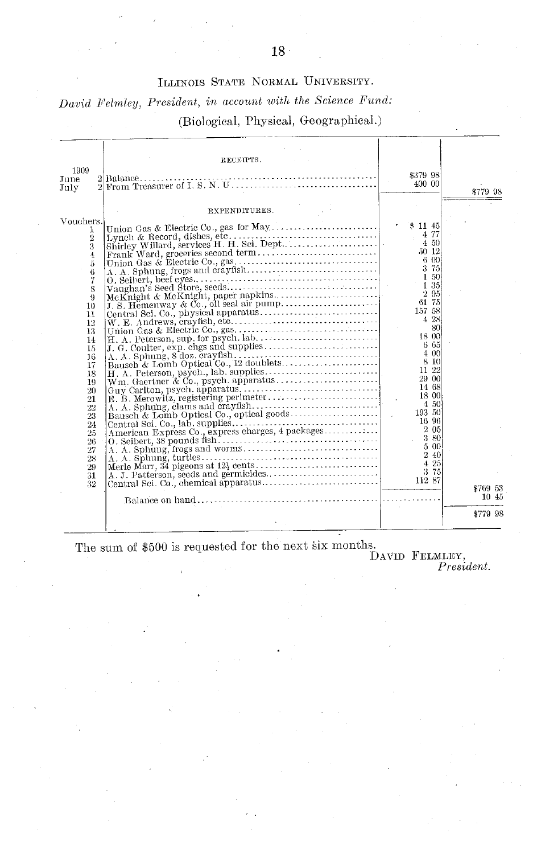## ILLINOIS STATE NORMAL UNIVERSITY.

## *David Felmley, President, in account with the Science Fund:*

### (Biological, Physical, Geographical.)

|                                      | RECEIPTS.                       |                    |          |
|--------------------------------------|---------------------------------|--------------------|----------|
| 1909                                 |                                 | \$379 98           |          |
| June                                 | 2 From Treasurer of I. S. N. U. | 400 00             |          |
| July                                 |                                 |                    | \$779 98 |
|                                      |                                 |                    |          |
|                                      | EXPENDITURES.                   |                    |          |
| Vouchers.                            |                                 | \$1145             |          |
| 1                                    |                                 | $\frac{1}{2}$ 4.77 |          |
| $\overline{2}$                       |                                 | 4 50               |          |
| 3                                    |                                 |                    |          |
| $\overline{4}$<br>$\tilde{\text{o}}$ |                                 |                    |          |
| 6                                    |                                 |                    |          |
| 7                                    |                                 |                    |          |
| 8                                    |                                 |                    |          |
| 9                                    |                                 |                    |          |
| 10                                   |                                 |                    |          |
| 11                                   |                                 |                    |          |
| 12                                   |                                 |                    |          |
| 13                                   |                                 |                    |          |
| 14<br>15                             |                                 |                    |          |
| 16                                   |                                 |                    |          |
| 17                                   |                                 |                    |          |
| 18                                   |                                 |                    |          |
| 19                                   |                                 | 29 00              |          |
| 20                                   |                                 | 14 68<br>18 00     |          |
| 21                                   |                                 |                    |          |
| 22                                   |                                 |                    |          |
| 23<br>24                             |                                 |                    |          |
| 25                                   |                                 |                    |          |
| 26                                   |                                 |                    |          |
| 27                                   |                                 |                    |          |
| 28                                   |                                 |                    |          |
| 29                                   |                                 |                    |          |
| 31                                   |                                 |                    |          |
| 32                                   |                                 |                    | \$769 53 |
|                                      |                                 |                    | 10 45    |
|                                      |                                 |                    | \$779 98 |

The sum of \$500 is requested for the next six months.<br>DAVID FELMLEY,<br>*President.*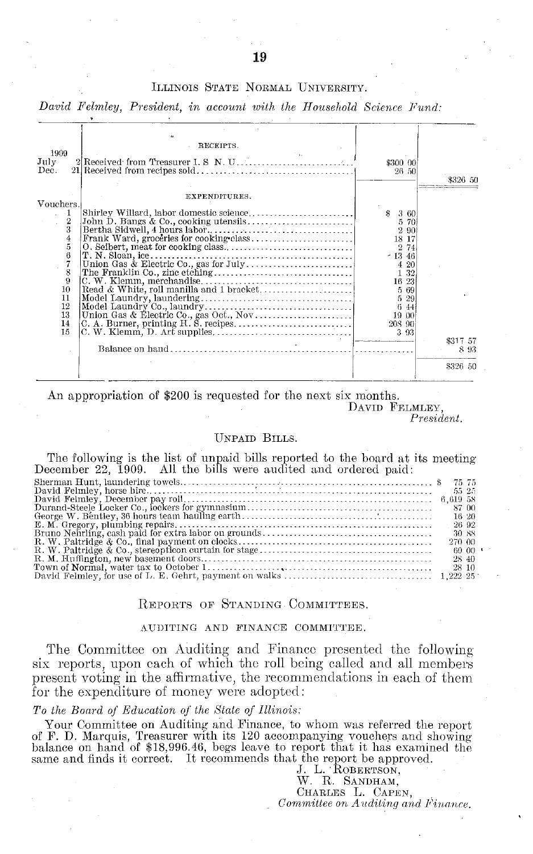#### ILLINOIS STATE NORMAL UNIVERSITY.

David Felmley, President, in account with the Household Science Fund:

|                | RECEIPTS.                          |                   |          |
|----------------|------------------------------------|-------------------|----------|
| 1909           |                                    |                   |          |
| July<br>Dec.   | 2 Received from Treasurer I.S N.U. | \$300 00<br>26 50 |          |
|                |                                    |                   | \$326 50 |
|                | EXPENDITURES.                      |                   |          |
| Vouchers.      |                                    |                   |          |
|                |                                    | \$ 3 60           |          |
| $\frac{1}{2}$  |                                    | 5 70              |          |
| 3              |                                    | 2 90              |          |
| $\frac{4}{5}$  |                                    | 18 17             |          |
|                |                                    | 274               |          |
| 6              | T. N. Sloan, ice.                  | $-1346$           |          |
| $\overline{7}$ |                                    | 4 20              |          |
| 8              |                                    | 1 32              |          |
| 9              |                                    | 16 23             |          |
| 10<br>11       |                                    | 5 69              |          |
| 12             |                                    | 5 29              |          |
| 13             |                                    |                   |          |
| 14             |                                    |                   |          |
| 15             |                                    |                   |          |
|                |                                    |                   | \$317 57 |
|                |                                    |                   | 893      |
|                |                                    |                   | \$326 50 |

An appropriation of \$200 is requested for the next six months.

DAVID FELMLEY.

President.

#### **UNPAID BILLS.**

The following is the list of unpaid bills reported to the board at its meeting December 22, 1909. All the bills were audited and ordered paid:

| 55 25  |  |
|--------|--|
|        |  |
| 87 00  |  |
| 16/20  |  |
| 26 92  |  |
| 30 88  |  |
| 270 00 |  |
| 60 00  |  |
| 28 40  |  |
| 28 10  |  |
|        |  |

#### REPORTS OF STANDING COMMITTEES.

#### AUDITING AND FINANCE COMMITTEE.

The Committee on Auditing and Finance presented the following six reports, upon each of which the roll being called and all members present voting in the affirmative, the recommendations in each of them for the expenditure of money were adopted:

#### To the Board of Education of the State of Illinois:

Your Committee on Auditing and Finance, to whom was referred the report of F. D. Marquis, Treasurer with its 120 accompanying vouchers and showing<br>balance on hand of \$18,996.46, begs leave to report that it has examined the same and finds it correct. It recommends that the report be approved.

J. L. ROBERTSON,<br>W. R. SANDHAM, CHARLES L. CAPEN,

Committee on Auditing and Finance.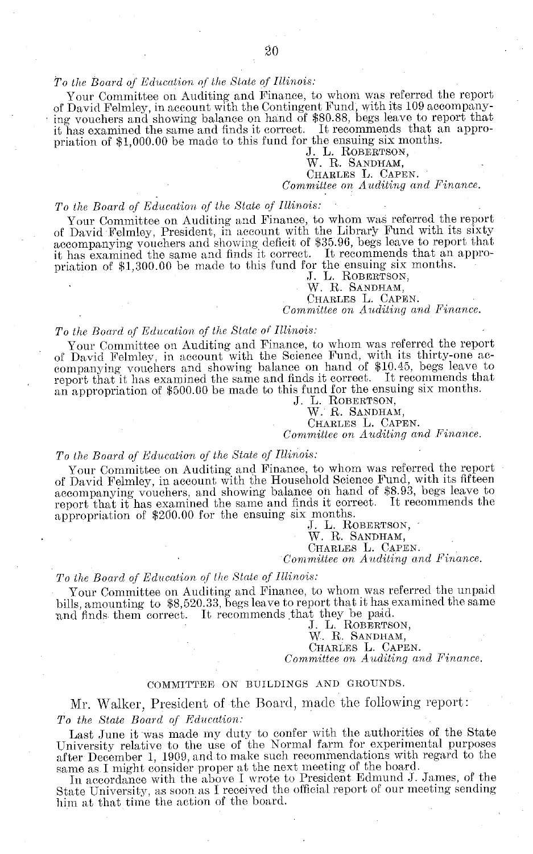#### *To the Board of Education of the State of Illinois:*

Your Committee on Auditing and Finance, to whom was referred the report of David Felmley, in account with the Contingent Fund', with its 109 accompanying vouchers and showing balance on hand of \$80.88, begs leave to report that it has examined the same and finds it correct. It recommends that an appropriation of \$1,000.00 be made to this fund for the ensuing six months.

J. L. ROBERTSON,

#### W. R. SANDHAM, CHARLES L. CAPEN.

#### *Committee on Auditing and Finance.*

#### *To the Board of Education of the State of Illinois:*

Your Committee on Auditing and Finance, to whom was referred the report of David Felmley, President, in account with the Library Fund with its sixty accompanying vouchers and showing deficit of \$35.96, begs leave to report that it has examined the same and finds it correct. It recommends that an appropriation of \$1,300.00 be made to this fund for the ensuing six months.

J. L. ROBERTSON,

W. R. SANDHAM,

CHARLES L. CAPEN.

*Committee on Auditing and Finance.*

#### *To the Board of Education of the State of Illinois:*

Your Committee on Auditing and Finance, to whom was referred the report of David Felmley, in account with the Science Fund, with its thirty-one accompanying vouchers and showing balance on hand of \$10.45, begs leave to report that it has examined the same and finds it correct. It recommends that an appropriation of \$500.00 be made to this fund for the ensuing six months.

J. L. ROBERTSON.

W. R. SANDHAM,

CHARLES L. CAPEN.

*Committee on Auditing and Finance.*

#### *To the Board of Education of the State of Illinois:*

Your Committee on Auditing and Finance, to whom was referred the report of David Felmley, in account with the Household Science Fund, with its fifteen accompanying vouchers, and showing balance on hand of \$8.93, begs leave to report that it has examined the same and finds it correct. It recommends the appropriation of \$200.00 for the ensuing six months.

J. L. ROBERTSON,

W. R. SANDHAM,

CHARLES L. CAPEN.

*Committee on Auditing and Finance.*

#### *To the Board of Education of the State of Illinois:*

Your Committee on Auditing and Finance, to whom was referred the unpaid bills, amounting to \$8,520.33, begs leave to report that it has examined the same and finds them correct. It recommends that they be paid.

J. L. ROBERTSON, W. R. SANDHAM, CHARLES L. CAPEN.

*Committee on Auditing and Finance.*

#### COMMITTEE ON BUILDINGS AND GROUNDS.

Mr. Walker, President of the Board, made the following report: *To the State Board of Education:*

Last June it was made my duty to confer with the authorities of the State University relative to the use of the Normal farm for experimental purposes after December 1, 1909, and to make such recommendations with regard to the same as. I might consider proper at the next meeting of the board.

In accordance with the above I wrote to President Edmund J. James, of the State University, as soon as I received the official report of our meeting sending him at that time the action of the board.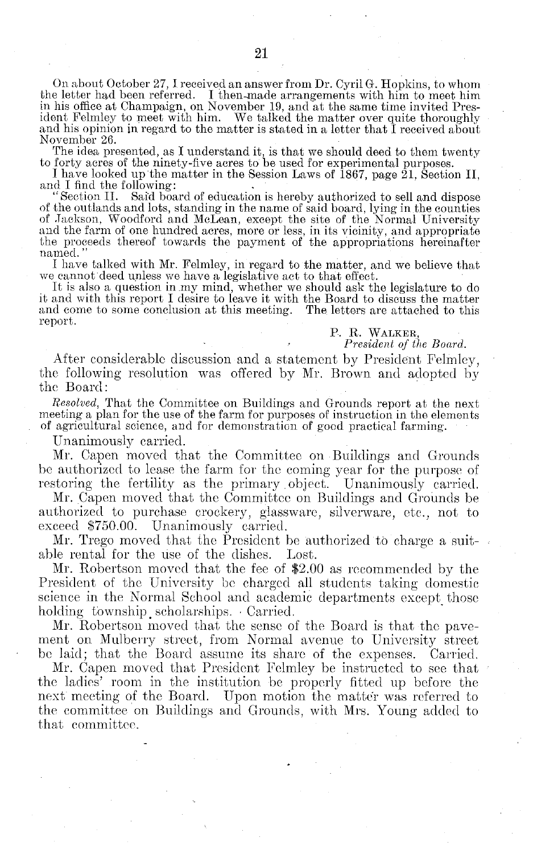On about October 27, I received an answer from Dr. Cyril G. Hopkins, to whom the letter had been referred. I then-made arrangements with him to meet him in his office at Champaign, on November 19, and at the same time invited President Felmley to meet with him. We talked the matter over quite thoroughly and his opinion in regard to the matter is stated in a letter that I received about November 26.

The idea presented, as I understand it, is that we should deed to them twenty

to forty acres of the ninety-five acres to be used for experimental purposes. I have looked up the matter in the Session Laws of 1867, page 21, Section II,

"Section II. Said board of education is hereby authorized to sell and dispose of the outlands and lots, standing in the name of said board, lying in the counties of Jackson, Woodford and McLean, except the site of the Norm and the farm of one hundred acres, more or less, in its vicinity, and appropriate the proceeds thereof towards the payment of the appropriations hereinafter naned."

I have talked with Mr. Felmley, in regard to the matter, and we believe that we cannot deed unless we have a legislative act to that effect.

It is also a question in.my mind, whether we should ask the legislature to do it and with this report I desire to leave it with the Board to discuss the matter and come to some conclusion at this meeting. report.

P. R. WALKER,

*President of the Board.*

After considerable discussion and a statement by President Felmley, the following resolution was offered by Mr. Brown and adopted by the Board:

*Resolved,* That the Committee on Buildings and Grounds report at the next meeting a plan for the use of the farm for purposes of instruction in the elements of agricultural science, and for demonstration of good practical farming.

Unanimously carried.

Mr. Capen moved that the Committee on Buildings and Grounds be authorized to lease the farm for the coming year for the purpose of restoring the fertility as the primary object. Unanimously carried.

Mr. Capen moved that the Committee on Buildings and Grounds be authorized to purchase crockery, glassware, silverware, etc., not to exceed \$750.00. Unanimously carried.

Mr. Trego moved that the President be authorized to charge a suitable rental for the use of the dishes. Lost.

Mr. Robertson moved that the fee of \$2.00 as recommended by the President of the University be charged all students taking domestic science in the Normal School and academic departments except those holding township scholarships. Carried.

Mr. Robertson moved that the sense of the Board is that the pavement on Mulberry street, from Normal avenue to University street be laid; that the Board assume its share of the expenses. Carried.

Mr. Capen moved that President Felmley be instructed to see that the ladies' room in the institution be properly fitted up before the next meeting of the Board. Upon motion the matter was referred to the committee on Buildings and Grounds, with Mrs. Young added to that committee.